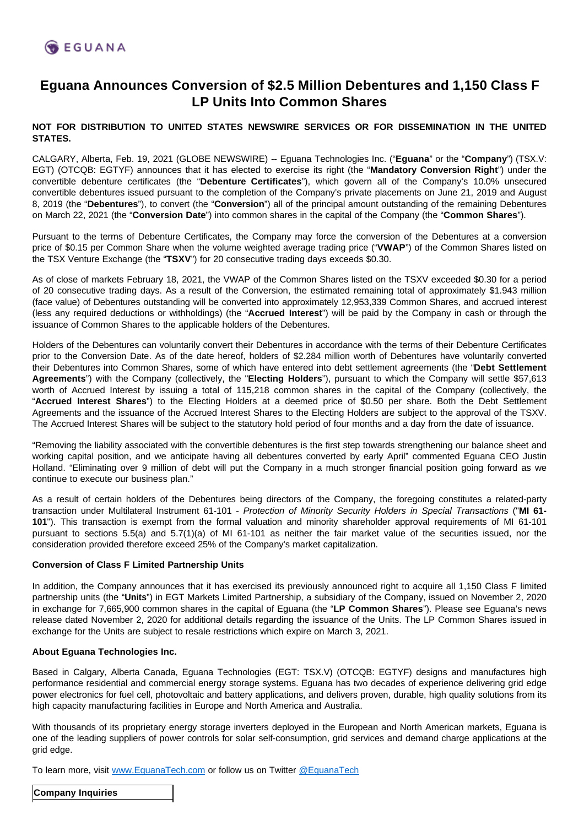# **Eguana Announces Conversion of \$2.5 Million Debentures and 1,150 Class F LP Units Into Common Shares**

#### **NOT FOR DISTRIBUTION TO UNITED STATES NEWSWIRE SERVICES OR FOR DISSEMINATION IN THE UNITED STATES.**

CALGARY, Alberta, Feb. 19, 2021 (GLOBE NEWSWIRE) -- Eguana Technologies Inc. ("**Eguana**" or the "**Company**") (TSX.V: EGT) (OTCQB: EGTYF) announces that it has elected to exercise its right (the "**Mandatory Conversion Right**") under the convertible debenture certificates (the "**Debenture Certificates**"), which govern all of the Company's 10.0% unsecured convertible debentures issued pursuant to the completion of the Company's private placements on June 21, 2019 and August 8, 2019 (the "**Debentures**"), to convert (the "**Conversion**") all of the principal amount outstanding of the remaining Debentures on March 22, 2021 (the "**Conversion Date**") into common shares in the capital of the Company (the "**Common Shares**").

Pursuant to the terms of Debenture Certificates, the Company may force the conversion of the Debentures at a conversion price of \$0.15 per Common Share when the volume weighted average trading price ("**VWAP**") of the Common Shares listed on the TSX Venture Exchange (the "**TSXV**") for 20 consecutive trading days exceeds \$0.30.

As of close of markets February 18, 2021, the VWAP of the Common Shares listed on the TSXV exceeded \$0.30 for a period of 20 consecutive trading days. As a result of the Conversion, the estimated remaining total of approximately \$1.943 million (face value) of Debentures outstanding will be converted into approximately 12,953,339 Common Shares, and accrued interest (less any required deductions or withholdings) (the "**Accrued Interest**") will be paid by the Company in cash or through the issuance of Common Shares to the applicable holders of the Debentures.

Holders of the Debentures can voluntarily convert their Debentures in accordance with the terms of their Debenture Certificates prior to the Conversion Date. As of the date hereof, holders of \$2.284 million worth of Debentures have voluntarily converted their Debentures into Common Shares, some of which have entered into debt settlement agreements (the "**Debt Settlement Agreements**") with the Company (collectively, the "**Electing Holders**"), pursuant to which the Company will settle \$57,613 worth of Accrued Interest by issuing a total of 115,218 common shares in the capital of the Company (collectively, the "**Accrued Interest Shares**") to the Electing Holders at a deemed price of \$0.50 per share. Both the Debt Settlement Agreements and the issuance of the Accrued Interest Shares to the Electing Holders are subject to the approval of the TSXV. The Accrued Interest Shares will be subject to the statutory hold period of four months and a day from the date of issuance.

"Removing the liability associated with the convertible debentures is the first step towards strengthening our balance sheet and working capital position, and we anticipate having all debentures converted by early April" commented Eguana CEO Justin Holland. "Eliminating over 9 million of debt will put the Company in a much stronger financial position going forward as we continue to execute our business plan."

As a result of certain holders of the Debentures being directors of the Company, the foregoing constitutes a related-party transaction under Multilateral Instrument 61-101 - Protection of Minority Security Holders in Special Transactions ("**MI 61- 101**"). This transaction is exempt from the formal valuation and minority shareholder approval requirements of MI 61-101 pursuant to sections 5.5(a) and 5.7(1)(a) of MI 61-101 as neither the fair market value of the securities issued, nor the consideration provided therefore exceed 25% of the Company's market capitalization.

## **Conversion of Class F Limited Partnership Units**

In addition, the Company announces that it has exercised its previously announced right to acquire all 1,150 Class F limited partnership units (the "**Units**") in EGT Markets Limited Partnership, a subsidiary of the Company, issued on November 2, 2020 in exchange for 7,665,900 common shares in the capital of Eguana (the "**LP Common Shares**"). Please see Eguana's news release dated November 2, 2020 for additional details regarding the issuance of the Units. The LP Common Shares issued in exchange for the Units are subject to resale restrictions which expire on March 3, 2021.

## **About Eguana Technologies Inc.**

Based in Calgary, Alberta Canada, Eguana Technologies (EGT: TSX.V) (OTCQB: EGTYF) designs and manufactures high performance residential and commercial energy storage systems. Eguana has two decades of experience delivering grid edge power electronics for fuel cell, photovoltaic and battery applications, and delivers proven, durable, high quality solutions from its high capacity manufacturing facilities in Europe and North America and Australia.

With thousands of its proprietary energy storage inverters deployed in the European and North American markets, Eguana is one of the leading suppliers of power controls for solar self-consumption, grid services and demand charge applications at the grid edge.

To learn more, visit [www.EguanaTech.com](http://www.eguanatech.com/) or follow us on Twitter [@EguanaTech](https://twitter.com/EguanaTech)

**Company Inquiries**